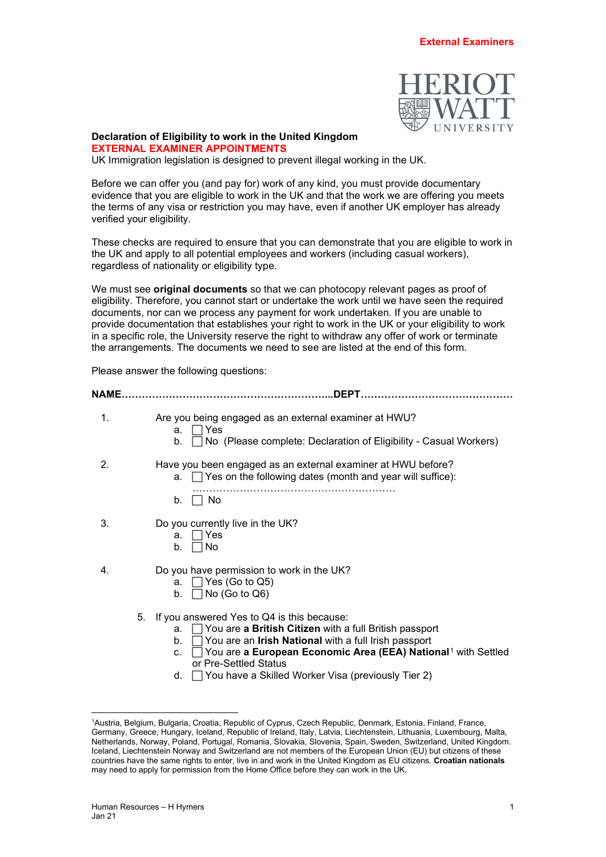

## **Declaration of Eligibility to work in the United Kingdom**

**EXTERNAL EXAMINER APPOINTMENTS**

UK Immigration legislation is designed to prevent illegal working in the UK.

Before we can offer you (and pay for) work of any kind, you must provide documentary evidence that you are eligible to work in the UK and that the work we are offering you meets the terms of any visa or restriction you may have, even if another UK employer has already verified your eligibility.

These checks are required to ensure that you can demonstrate that you are eligible to work in the UK and apply to all potential employees and workers (including casual workers), regardless of nationality or eligibility type.

We must see **original documents** so that we can photocopy relevant pages as proof of eligibility. Therefore, you cannot start or undertake the work until we have seen the required documents, nor can we process any payment for work undertaken. If you are unable to provide documentation that establishes your right to work in the UK or your eligibility to work in a specific role, the University reserve the right to withdraw any offer of work or terminate the arrangements. The documents we need to see are listed at the end of this form.

Please answer the following questions:

| NAME | <b>DEPT</b>                                                                                                                                                                                                                                                                                                                                                                           |
|------|---------------------------------------------------------------------------------------------------------------------------------------------------------------------------------------------------------------------------------------------------------------------------------------------------------------------------------------------------------------------------------------|
| 1.   | Are you being engaged as an external examiner at HWU?<br>$\Box$ Yes<br>a.<br>$\Box$ No (Please complete: Declaration of Eligibility - Casual Workers)<br>b.                                                                                                                                                                                                                           |
| 2.   | Have you been engaged as an external examiner at HWU before?<br>a. $\Box$ Yes on the following dates (month and year will suffice):<br>No.<br>b.                                                                                                                                                                                                                                      |
| 3.   | Do you currently live in the UK?<br>$\Box$ Yes<br>a.<br>No<br>b.                                                                                                                                                                                                                                                                                                                      |
| 4.   | Do you have permission to work in the UK?<br>$\Box$ Yes (Go to Q5)<br>a.<br>$\vert$ No (Go to Q6)<br>b.                                                                                                                                                                                                                                                                               |
|      | If you answered Yes to Q4 is this because:<br>5.<br>$\Box$ You are <b>a British Citizen</b> with a full British passport<br>a.<br>You are an Irish National with a full Irish passport<br>b.<br>You are a European Economic Area (EEA) National <sup>1</sup> with Settled<br>C.<br>or Pre-Settled Status<br>$\Box$ You have a Skilled Worker Visa (previously Tier 2)<br><sub>d</sub> |

d. └**J You have a Skilled Worker Visa (previously** Tier 2)

<span id="page-0-0"></span><sup>1</sup> Austria, Belgium, Bulgaria, Croatia, Republic of Cyprus, Czech Republic, Denmark, Estonia, Finland, France, Germany, Greece, Hungary, Iceland, Republic of Ireland, Italy, Latvia, Liechtenstein, Lithuania, Luxembourg, Malta, Netherlands, Norway, Poland, Portugal, Romania, Slovakia, Slovenia, Spain, Sweden, Switzerland, United Kingdom. Iceland, Liechtenstein Norway and Switzerland are not members of the European Union (EU) but citizens of these countries have the same rights to enter, live in and work in the United Kingdom as EU citizens. **Croatian nationals** may need to apply for permission from the Home Office before they can work in the UK.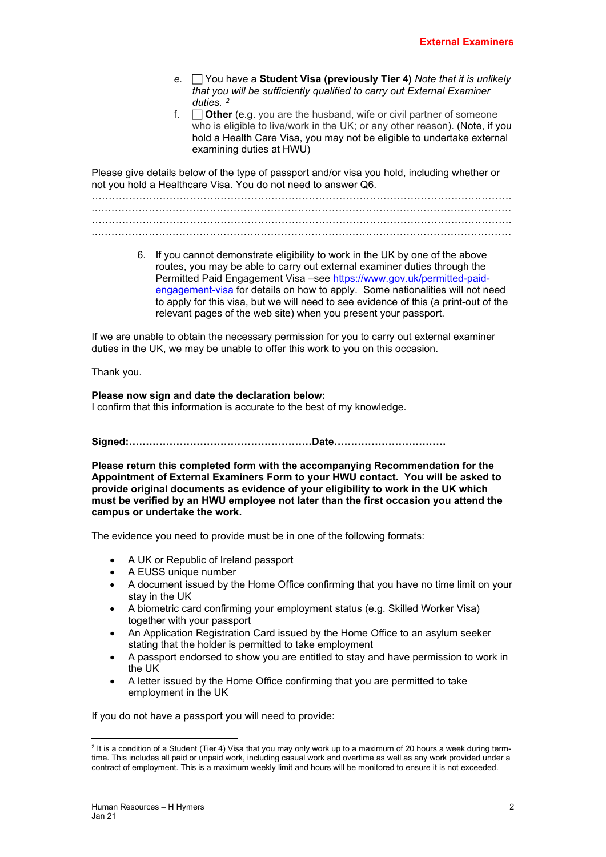- *e.* You have a **Student Visa (previously Tier 4)** *Note that it is unlikely that you will be sufficiently qualified to carry out External Examiner duties. [2](#page-1-0)*
- f. **Other** (e.g. you are the husband, wife or civil partner of someone who is eligible to live/work in the UK; or any other reason). (Note, if you hold a Health Care Visa, you may not be eligible to undertake external examining duties at HWU)

Please give details below of the type of passport and/or visa you hold, including whether or not you hold a Healthcare Visa. You do not need to answer Q6.

……………………………………………………………………………………………………………. .…………………………………………………………………………………………………………… …………………………………………………………………………………………………………….

- .……………………………………………………………………………………………………………
	- 6. If you cannot demonstrate eligibility to work in the UK by one of the above routes, you may be able to carry out external examiner duties through the Permitted Paid Engagement Visa -see [https://www.gov.uk/permitted-paid](https://www.gov.uk/permitted-paid-engagement-visa)[engagement-visa](https://www.gov.uk/permitted-paid-engagement-visa) for details on how to apply. Some nationalities will not need to apply for this visa, but we will need to see evidence of this (a print-out of the relevant pages of the web site) when you present your passport.

If we are unable to obtain the necessary permission for you to carry out external examiner duties in the UK, we may be unable to offer this work to you on this occasion.

Thank you.

## **Please now sign and date the declaration below:** I confirm that this information is accurate to the best of my knowledge.

**Signed:………………………………………………Date……………………………**

**Please return this completed form with the accompanying Recommendation for the Appointment of External Examiners Form to your HWU contact. You will be asked to provide original documents as evidence of your eligibility to work in the UK which must be verified by an HWU employee not later than the first occasion you attend the campus or undertake the work.** 

The evidence you need to provide must be in one of the following formats:

- A UK or Republic of Ireland passport
- A EUSS unique number
- A document issued by the Home Office confirming that you have no time limit on your stay in the UK
- A biometric card confirming your employment status (e.g. Skilled Worker Visa) together with your passport
- An Application Registration Card issued by the Home Office to an asylum seeker stating that the holder is permitted to take employment
- A passport endorsed to show you are entitled to stay and have permission to work in the UK
- A letter issued by the Home Office confirming that you are permitted to take employment in the UK

## If you do not have a passport you will need to provide:

<span id="page-1-0"></span> $2$  It is a condition of a Student (Tier 4) Visa that you may only work up to a maximum of 20 hours a week during termtime. This includes all paid or unpaid work, including casual work and overtime as well as any work provided under a contract of employment. This is a maximum weekly limit and hours will be monitored to ensure it is not exceeded.